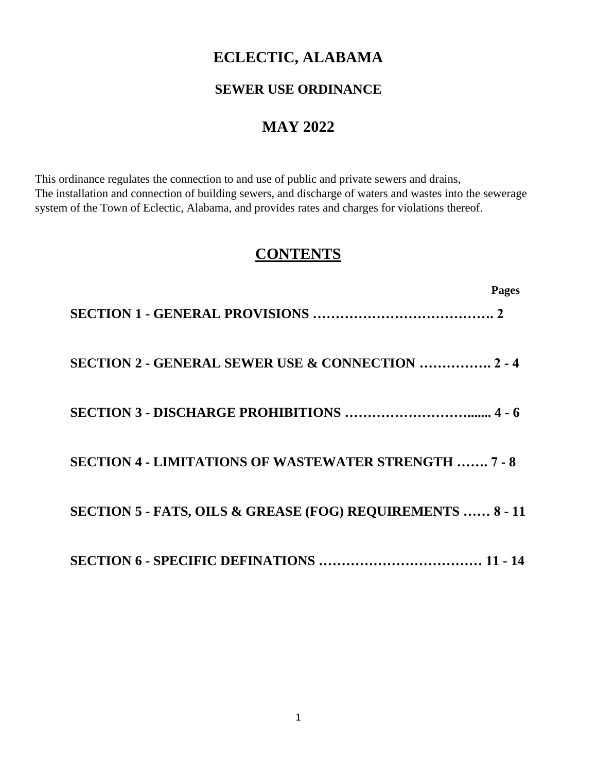# **ECLECTIC, ALABAMA**

### **SEWER USE ORDINANCE**

# **MAY 2022**

This ordinance regulates the connection to and use of public and private sewers and drains, The installation and connection of building sewers, and discharge of waters and wastes into the sewerage system of the Town of Eclectic, Alabama, and provides rates and charges for violations thereof.

# **CONTENTS**

|                                                                       | <b>Pages</b> |
|-----------------------------------------------------------------------|--------------|
|                                                                       |              |
| <b>SECTION 2 - GENERAL SEWER USE &amp; CONNECTION  2 - 4</b>          |              |
|                                                                       |              |
| <b>SECTION 4 - LIMITATIONS OF WASTEWATER STRENGTH  7 - 8</b>          |              |
| <b>SECTION 5 - FATS, OILS &amp; GREASE (FOG) REQUIREMENTS  8 - 11</b> |              |
|                                                                       |              |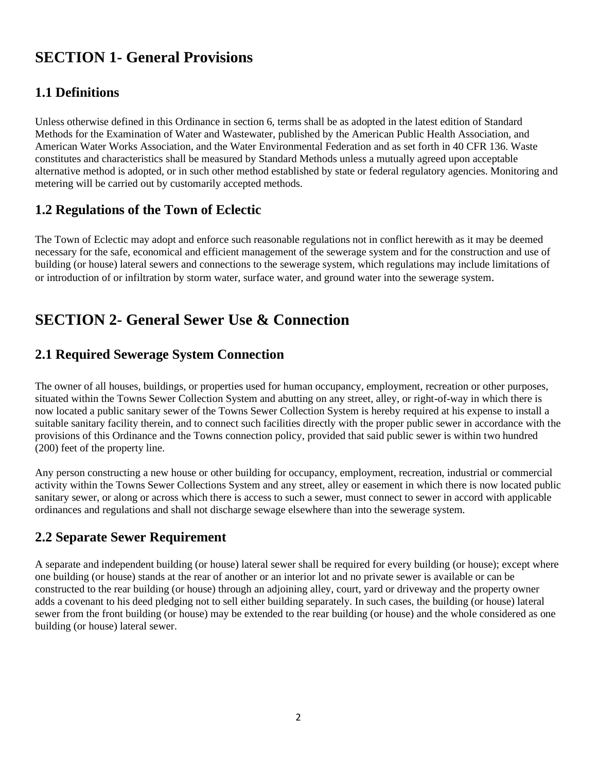# **SECTION 1- General Provisions**

## **1.1 Definitions**

Unless otherwise defined in this Ordinance in section 6, terms shall be as adopted in the latest edition of Standard Methods for the Examination of Water and Wastewater, published by the American Public Health Association, and American Water Works Association, and the Water Environmental Federation and as set forth in 40 CFR 136. Waste constitutes and characteristics shall be measured by Standard Methods unless a mutually agreed upon acceptable alternative method is adopted, or in such other method established by state or federal regulatory agencies. Monitoring and metering will be carried out by customarily accepted methods.

## **1.2 Regulations of the Town of Eclectic**

The Town of Eclectic may adopt and enforce such reasonable regulations not in conflict herewith as it may be deemed necessary for the safe, economical and efficient management of the sewerage system and for the construction and use of building (or house) lateral sewers and connections to the sewerage system, which regulations may include limitations of or introduction of or infiltration by storm water, surface water, and ground water into the sewerage system.

# **SECTION 2- General Sewer Use & Connection**

### **2.1 Required Sewerage System Connection**

The owner of all houses, buildings, or properties used for human occupancy, employment, recreation or other purposes, situated within the Towns Sewer Collection System and abutting on any street, alley, or right-of-way in which there is now located a public sanitary sewer of the Towns Sewer Collection System is hereby required at his expense to install a suitable sanitary facility therein, and to connect such facilities directly with the proper public sewer in accordance with the provisions of this Ordinance and the Towns connection policy, provided that said public sewer is within two hundred (200) feet of the property line.

Any person constructing a new house or other building for occupancy, employment, recreation, industrial or commercial activity within the Towns Sewer Collections System and any street, alley or easement in which there is now located public sanitary sewer, or along or across which there is access to such a sewer, must connect to sewer in accord with applicable ordinances and regulations and shall not discharge sewage elsewhere than into the sewerage system.

## **2.2 Separate Sewer Requirement**

A separate and independent building (or house) lateral sewer shall be required for every building (or house); except where one building (or house) stands at the rear of another or an interior lot and no private sewer is available or can be constructed to the rear building (or house) through an adjoining alley, court, yard or driveway and the property owner adds a covenant to his deed pledging not to sell either building separately. In such cases, the building (or house) lateral sewer from the front building (or house) may be extended to the rear building (or house) and the whole considered as one building (or house) lateral sewer.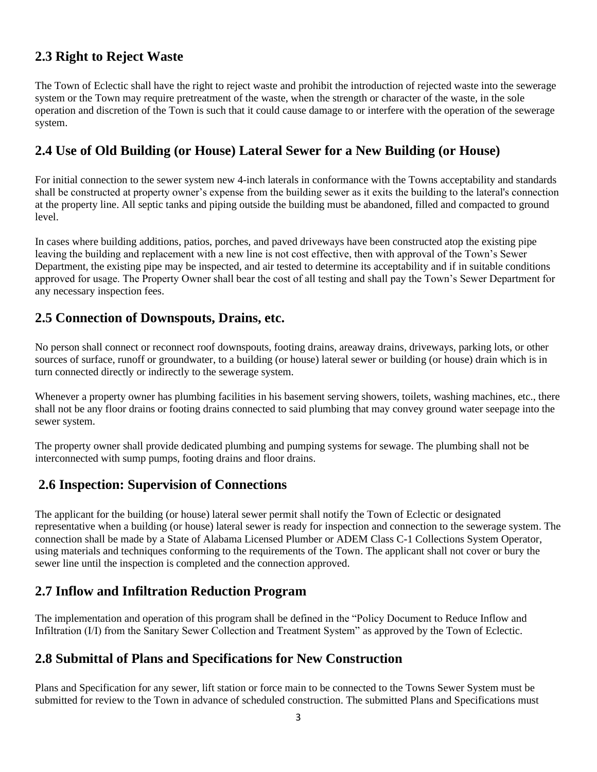### **2.3 Right to Reject Waste**

The Town of Eclectic shall have the right to reject waste and prohibit the introduction of rejected waste into the sewerage system or the Town may require pretreatment of the waste, when the strength or character of the waste, in the sole operation and discretion of the Town is such that it could cause damage to or interfere with the operation of the sewerage system.

### **2.4 Use of Old Building (or House) Lateral Sewer for a New Building (or House)**

For initial connection to the sewer system new 4-inch laterals in conformance with the Towns acceptability and standards shall be constructed at property owner's expense from the building sewer as it exits the building to the lateral's connection at the property line. All septic tanks and piping outside the building must be abandoned, filled and compacted to ground level.

In cases where building additions, patios, porches, and paved driveways have been constructed atop the existing pipe leaving the building and replacement with a new line is not cost effective, then with approval of the Town's Sewer Department, the existing pipe may be inspected, and air tested to determine its acceptability and if in suitable conditions approved for usage. The Property Owner shall bear the cost of all testing and shall pay the Town's Sewer Department for any necessary inspection fees.

### **2.5 Connection of Downspouts, Drains, etc.**

No person shall connect or reconnect roof downspouts, footing drains, areaway drains, driveways, parking lots, or other sources of surface, runoff or groundwater, to a building (or house) lateral sewer or building (or house) drain which is in turn connected directly or indirectly to the sewerage system.

Whenever a property owner has plumbing facilities in his basement serving showers, toilets, washing machines, etc., there shall not be any floor drains or footing drains connected to said plumbing that may convey ground water seepage into the sewer system.

The property owner shall provide dedicated plumbing and pumping systems for sewage. The plumbing shall not be interconnected with sump pumps, footing drains and floor drains.

### **2.6 Inspection: Supervision of Connections**

The applicant for the building (or house) lateral sewer permit shall notify the Town of Eclectic or designated representative when a building (or house) lateral sewer is ready for inspection and connection to the sewerage system. The connection shall be made by a State of Alabama Licensed Plumber or ADEM Class C-1 Collections System Operator, using materials and techniques conforming to the requirements of the Town. The applicant shall not cover or bury the sewer line until the inspection is completed and the connection approved.

## **2.7 Inflow and Infiltration Reduction Program**

The implementation and operation of this program shall be defined in the "Policy Document to Reduce Inflow and Infiltration (I/I) from the Sanitary Sewer Collection and Treatment System" as approved by the Town of Eclectic.

### **2.8 Submittal of Plans and Specifications for New Construction**

Plans and Specification for any sewer, lift station or force main to be connected to the Towns Sewer System must be submitted for review to the Town in advance of scheduled construction. The submitted Plans and Specifications must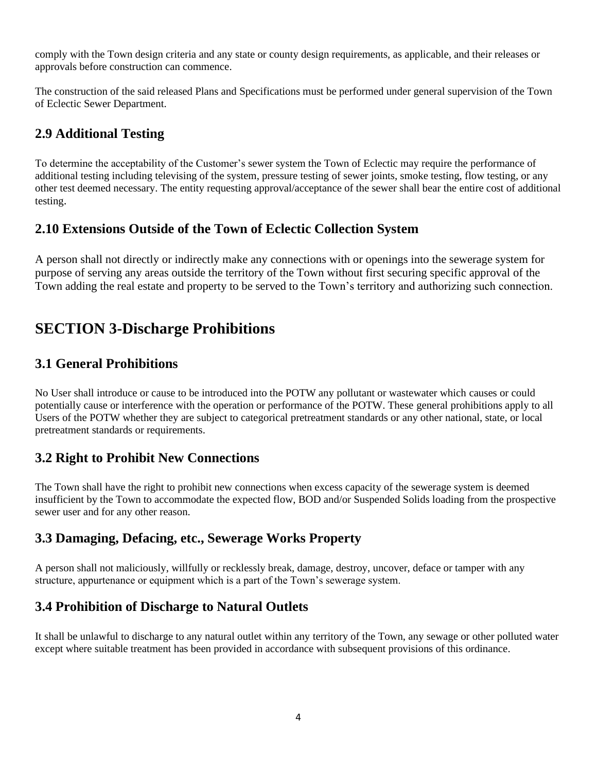comply with the Town design criteria and any state or county design requirements, as applicable, and their releases or approvals before construction can commence.

The construction of the said released Plans and Specifications must be performed under general supervision of the Town of Eclectic Sewer Department.

## **2.9 Additional Testing**

To determine the acceptability of the Customer's sewer system the Town of Eclectic may require the performance of additional testing including televising of the system, pressure testing of sewer joints, smoke testing, flow testing, or any other test deemed necessary. The entity requesting approval/acceptance of the sewer shall bear the entire cost of additional testing.

### **2.10 Extensions Outside of the Town of Eclectic Collection System**

A person shall not directly or indirectly make any connections with or openings into the sewerage system for purpose of serving any areas outside the territory of the Town without first securing specific approval of the Town adding the real estate and property to be served to the Town's territory and authorizing such connection.

## **SECTION 3-Discharge Prohibitions**

### **3.1 General Prohibitions**

No User shall introduce or cause to be introduced into the POTW any pollutant or wastewater which causes or could potentially cause or interference with the operation or performance of the POTW. These general prohibitions apply to all Users of the POTW whether they are subject to categorical pretreatment standards or any other national, state, or local pretreatment standards or requirements.

### **3.2 Right to Prohibit New Connections**

The Town shall have the right to prohibit new connections when excess capacity of the sewerage system is deemed insufficient by the Town to accommodate the expected flow, BOD and/or Suspended Solids loading from the prospective sewer user and for any other reason.

### **3.3 Damaging, Defacing, etc., Sewerage Works Property**

A person shall not maliciously, willfully or recklessly break, damage, destroy, uncover, deface or tamper with any structure, appurtenance or equipment which is a part of the Town's sewerage system.

### **3.4 Prohibition of Discharge to Natural Outlets**

It shall be unlawful to discharge to any natural outlet within any territory of the Town, any sewage or other polluted water except where suitable treatment has been provided in accordance with subsequent provisions of this ordinance.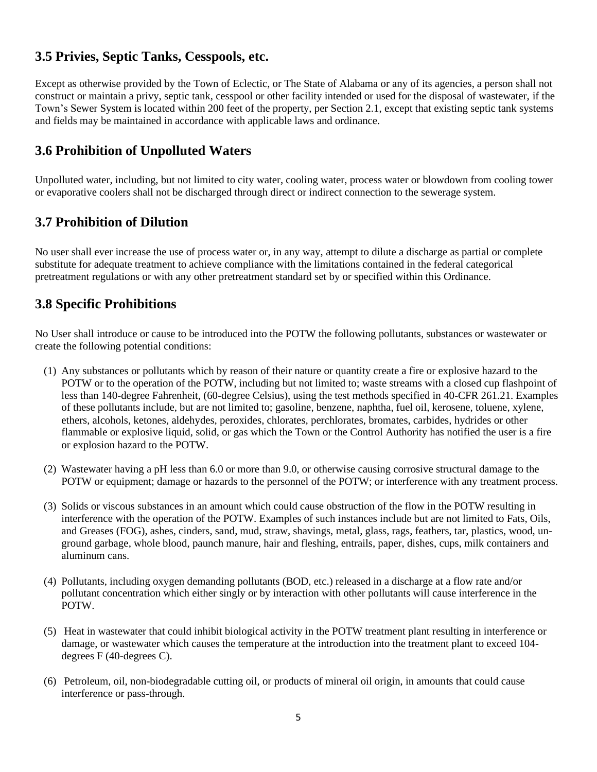### **3.5 Privies, Septic Tanks, Cesspools, etc.**

Except as otherwise provided by the Town of Eclectic, or The State of Alabama or any of its agencies, a person shall not construct or maintain a privy, septic tank, cesspool or other facility intended or used for the disposal of wastewater, if the Town's Sewer System is located within 200 feet of the property, per Section 2.1, except that existing septic tank systems and fields may be maintained in accordance with applicable laws and ordinance.

### **3.6 Prohibition of Unpolluted Waters**

Unpolluted water, including, but not limited to city water, cooling water, process water or blowdown from cooling tower or evaporative coolers shall not be discharged through direct or indirect connection to the sewerage system.

## **3.7 Prohibition of Dilution**

No user shall ever increase the use of process water or, in any way, attempt to dilute a discharge as partial or complete substitute for adequate treatment to achieve compliance with the limitations contained in the federal categorical pretreatment regulations or with any other pretreatment standard set by or specified within this Ordinance.

### **3.8 Specific Prohibitions**

No User shall introduce or cause to be introduced into the POTW the following pollutants, substances or wastewater or create the following potential conditions:

- (1) Any substances or pollutants which by reason of their nature or quantity create a fire or explosive hazard to the POTW or to the operation of the POTW, including but not limited to; waste streams with a closed cup flashpoint of less than 140-degree Fahrenheit, (60-degree Celsius), using the test methods specified in 40-CFR 261.21. Examples of these pollutants include, but are not limited to; gasoline, benzene, naphtha, fuel oil, kerosene, toluene, xylene, ethers, alcohols, ketones, aldehydes, peroxides, chlorates, perchlorates, bromates, carbides, hydrides or other flammable or explosive liquid, solid, or gas which the Town or the Control Authority has notified the user is a fire or explosion hazard to the POTW.
- (2) Wastewater having a pH less than 6.0 or more than 9.0, or otherwise causing corrosive structural damage to the POTW or equipment; damage or hazards to the personnel of the POTW; or interference with any treatment process.
- (3) Solids or viscous substances in an amount which could cause obstruction of the flow in the POTW resulting in interference with the operation of the POTW. Examples of such instances include but are not limited to Fats, Oils, and Greases (FOG), ashes, cinders, sand, mud, straw, shavings, metal, glass, rags, feathers, tar, plastics, wood, unground garbage, whole blood, paunch manure, hair and fleshing, entrails, paper, dishes, cups, milk containers and aluminum cans.
- (4) Pollutants, including oxygen demanding pollutants (BOD, etc.) released in a discharge at a flow rate and/or pollutant concentration which either singly or by interaction with other pollutants will cause interference in the POTW.
- (5) Heat in wastewater that could inhibit biological activity in the POTW treatment plant resulting in interference or damage, or wastewater which causes the temperature at the introduction into the treatment plant to exceed 104 degrees F (40-degrees C).
- (6) Petroleum, oil, non-biodegradable cutting oil, or products of mineral oil origin, in amounts that could cause interference or pass-through.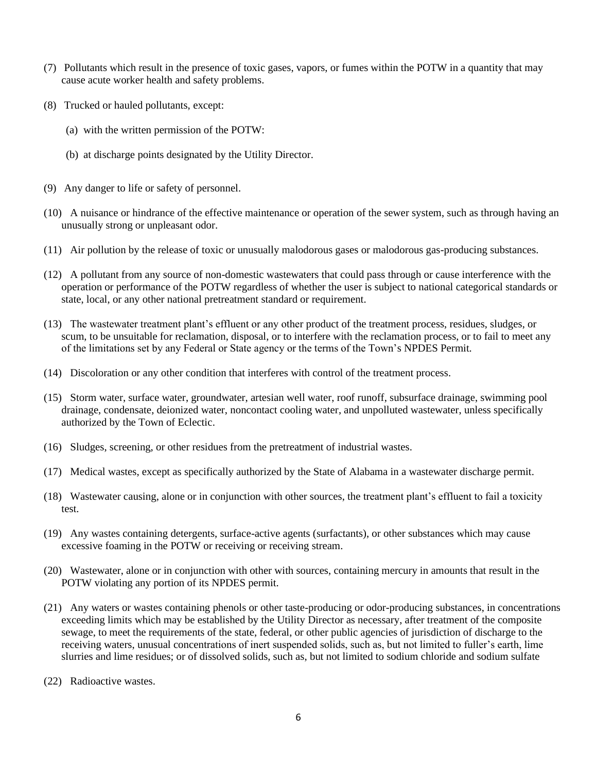- (7) Pollutants which result in the presence of toxic gases, vapors, or fumes within the POTW in a quantity that may cause acute worker health and safety problems.
- (8) Trucked or hauled pollutants, except:
	- (a) with the written permission of the POTW:
	- (b) at discharge points designated by the Utility Director.
- (9) Any danger to life or safety of personnel.
- (10) A nuisance or hindrance of the effective maintenance or operation of the sewer system, such as through having an unusually strong or unpleasant odor.
- (11) Air pollution by the release of toxic or unusually malodorous gases or malodorous gas-producing substances.
- (12) A pollutant from any source of non-domestic wastewaters that could pass through or cause interference with the operation or performance of the POTW regardless of whether the user is subject to national categorical standards or state, local, or any other national pretreatment standard or requirement.
- (13) The wastewater treatment plant's effluent or any other product of the treatment process, residues, sludges, or scum, to be unsuitable for reclamation, disposal, or to interfere with the reclamation process, or to fail to meet any of the limitations set by any Federal or State agency or the terms of the Town's NPDES Permit.
- (14) Discoloration or any other condition that interferes with control of the treatment process.
- (15) Storm water, surface water, groundwater, artesian well water, roof runoff, subsurface drainage, swimming pool drainage, condensate, deionized water, noncontact cooling water, and unpolluted wastewater, unless specifically authorized by the Town of Eclectic.
- (16) Sludges, screening, or other residues from the pretreatment of industrial wastes.
- (17) Medical wastes, except as specifically authorized by the State of Alabama in a wastewater discharge permit.
- (18) Wastewater causing, alone or in conjunction with other sources, the treatment plant's effluent to fail a toxicity test.
- (19) Any wastes containing detergents, surface-active agents (surfactants), or other substances which may cause excessive foaming in the POTW or receiving or receiving stream.
- (20) Wastewater, alone or in conjunction with other with sources, containing mercury in amounts that result in the POTW violating any portion of its NPDES permit.
- (21) Any waters or wastes containing phenols or other taste-producing or odor-producing substances, in concentrations exceeding limits which may be established by the Utility Director as necessary, after treatment of the composite sewage, to meet the requirements of the state, federal, or other public agencies of jurisdiction of discharge to the receiving waters, unusual concentrations of inert suspended solids, such as, but not limited to fuller's earth, lime slurries and lime residues; or of dissolved solids, such as, but not limited to sodium chloride and sodium sulfate
- (22) Radioactive wastes.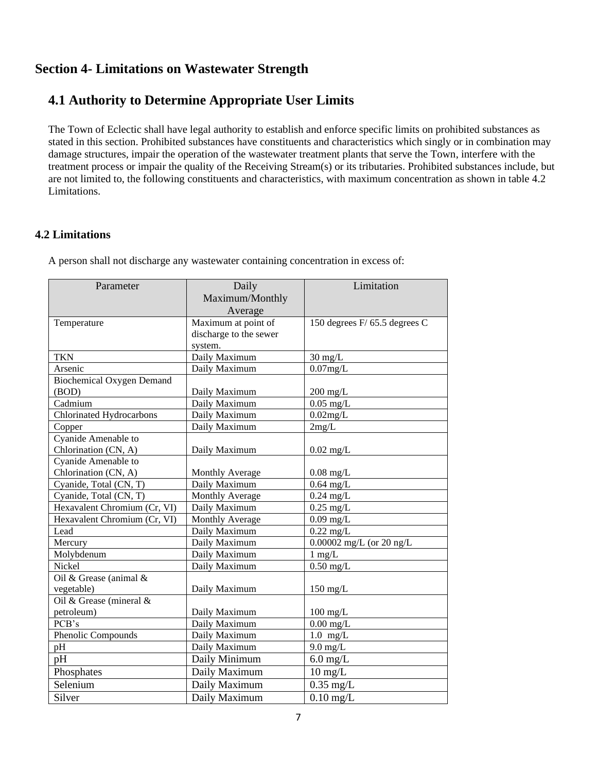### **Section 4- Limitations on Wastewater Strength**

# **4.1 Authority to Determine Appropriate User Limits**

The Town of Eclectic shall have legal authority to establish and enforce specific limits on prohibited substances as stated in this section. Prohibited substances have constituents and characteristics which singly or in combination may damage structures, impair the operation of the wastewater treatment plants that serve the Town, interfere with the treatment process or impair the quality of the Receiving Stream(s) or its tributaries. Prohibited substances include, but are not limited to, the following constituents and characteristics, with maximum concentration as shown in table 4.2 Limitations.

#### **4.2 Limitations**

A person shall not discharge any wastewater containing concentration in excess of:

| Parameter                        | Daily                  | Limitation                    |
|----------------------------------|------------------------|-------------------------------|
|                                  | Maximum/Monthly        |                               |
|                                  | Average                |                               |
| Temperature                      | Maximum at point of    | 150 degrees F/ 65.5 degrees C |
|                                  | discharge to the sewer |                               |
|                                  | system.                |                               |
| <b>TKN</b>                       | Daily Maximum          | $30 \text{ mg/L}$             |
| Arsenic                          | Daily Maximum          | $0.07$ mg/L                   |
| <b>Biochemical Oxygen Demand</b> |                        |                               |
| (BOD)                            | Daily Maximum          | $200$ mg/L                    |
| Cadmium                          | Daily Maximum          | $0.05$ mg/L                   |
| Chlorinated Hydrocarbons         | Daily Maximum          | $0.02$ mg/L                   |
| Copper                           | Daily Maximum          | 2mg/L                         |
| Cyanide Amenable to              |                        |                               |
| Chlorination (CN, A)             | Daily Maximum          | $0.02 \text{ mg/L}$           |
| Cyanide Amenable to              |                        |                               |
| Chlorination (CN, A)             | <b>Monthly Average</b> | $0.08$ mg/L                   |
| Cyanide, Total (CN, T)           | Daily Maximum          | $0.64$ mg/L                   |
| Cyanide, Total (CN, T)           | <b>Monthly Average</b> | $0.24$ mg/L                   |
| Hexavalent Chromium (Cr, VI)     | Daily Maximum          | $0.25$ mg/L                   |
| Hexavalent Chromium (Cr, VI)     | <b>Monthly Average</b> | $0.09$ mg/L                   |
| Lead                             | Daily Maximum          | $0.22$ mg/L                   |
| Mercury                          | Daily Maximum          | 0.00002 mg/L (or 20 ng/L      |
| Molybdenum                       | Daily Maximum          | $1$ mg/ $L$                   |
| Nickel                           | Daily Maximum          | $0.50$ mg/L                   |
| Oil & Grease (animal &           |                        |                               |
| vegetable)                       | Daily Maximum          | $150 \text{ mg/L}$            |
| Oil & Grease (mineral &          |                        |                               |
| petroleum)                       | Daily Maximum          | $100 \text{ mg/L}$            |
| PCB's                            | Daily Maximum          | $0.00$ mg/L                   |
| Phenolic Compounds               | Daily Maximum          | $1.0$ mg/L                    |
| pH                               | Daily Maximum          | $9.0$ mg/L                    |
| pH                               | Daily Minimum          | $6.0$ mg/L                    |
| Phosphates                       | Daily Maximum          | $10 \text{ mg/L}$             |
| Selenium                         | Daily Maximum          | $0.35$ mg/L                   |
| Silver                           | Daily Maximum          | $0.10$ mg/L                   |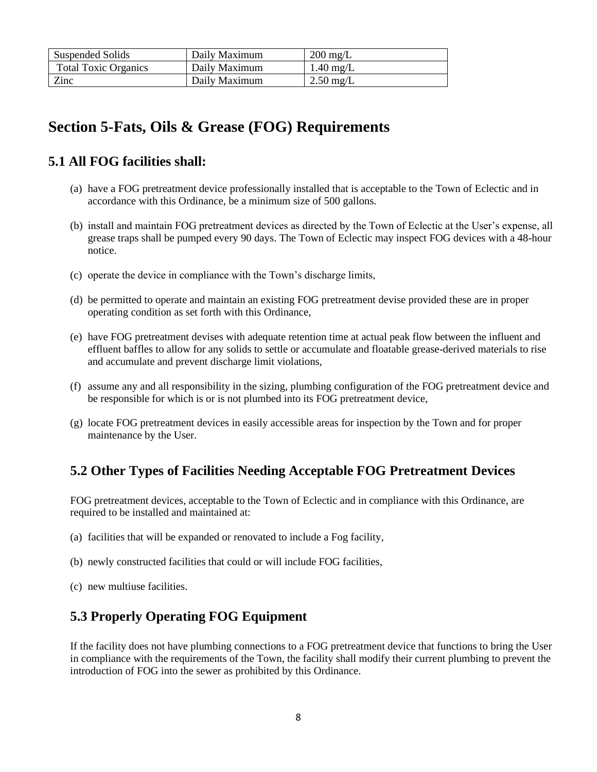| Suspended Solids            | Daily Maximum | $200 \text{ mg/L}$  |
|-----------------------------|---------------|---------------------|
| <b>Total Toxic Organics</b> | Daily Maximum | $1.40 \text{ mg/L}$ |
| Zinc                        | Daily Maximum | $2.50 \text{ mg/L}$ |

# **Section 5-Fats, Oils & Grease (FOG) Requirements**

### **5.1 All FOG facilities shall:**

- (a) have a FOG pretreatment device professionally installed that is acceptable to the Town of Eclectic and in accordance with this Ordinance, be a minimum size of 500 gallons.
- (b) install and maintain FOG pretreatment devices as directed by the Town of Eclectic at the User's expense, all grease traps shall be pumped every 90 days. The Town of Eclectic may inspect FOG devices with a 48-hour notice.
- (c) operate the device in compliance with the Town's discharge limits,
- (d) be permitted to operate and maintain an existing FOG pretreatment devise provided these are in proper operating condition as set forth with this Ordinance,
- (e) have FOG pretreatment devises with adequate retention time at actual peak flow between the influent and effluent baffles to allow for any solids to settle or accumulate and floatable grease-derived materials to rise and accumulate and prevent discharge limit violations,
- (f) assume any and all responsibility in the sizing, plumbing configuration of the FOG pretreatment device and be responsible for which is or is not plumbed into its FOG pretreatment device,
- (g) locate FOG pretreatment devices in easily accessible areas for inspection by the Town and for proper maintenance by the User.

## **5.2 Other Types of Facilities Needing Acceptable FOG Pretreatment Devices**

FOG pretreatment devices, acceptable to the Town of Eclectic and in compliance with this Ordinance, are required to be installed and maintained at:

- (a) facilities that will be expanded or renovated to include a Fog facility,
- (b) newly constructed facilities that could or will include FOG facilities,
- (c) new multiuse facilities.

### **5.3 Properly Operating FOG Equipment**

If the facility does not have plumbing connections to a FOG pretreatment device that functions to bring the User in compliance with the requirements of the Town, the facility shall modify their current plumbing to prevent the introduction of FOG into the sewer as prohibited by this Ordinance.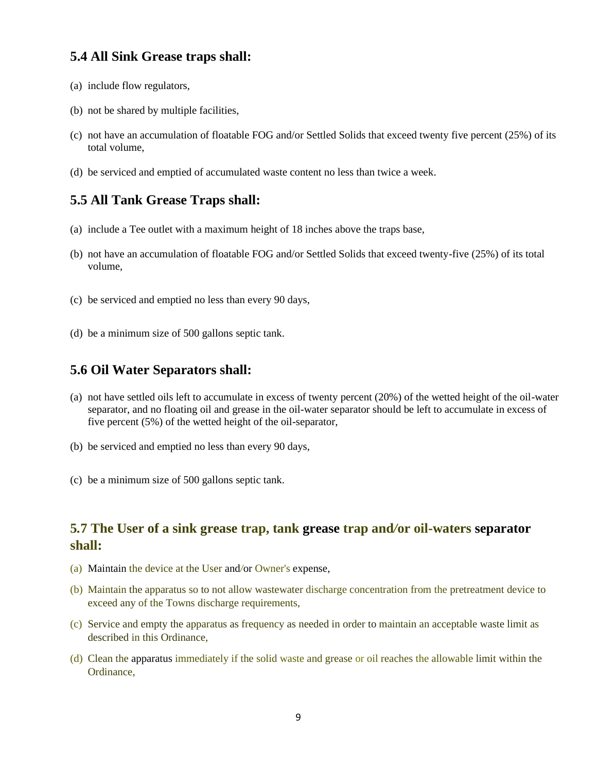#### **5.4 All Sink Grease traps shall:**

- (a) include flow regulators,
- (b) not be shared by multiple facilities,
- (c) not have an accumulation of floatable FOG and/or Settled Solids that exceed twenty five percent (25%) of its total volume,
- (d) be serviced and emptied of accumulated waste content no less than twice a week.

#### **5.5 All Tank Grease Traps shall:**

- (a) include a Tee outlet with a maximum height of 18 inches above the traps base,
- (b) not have an accumulation of floatable FOG and/or Settled Solids that exceed twenty-five (25%) of its total volume,
- (c) be serviced and emptied no less than every 90 days,
- (d) be a minimum size of 500 gallons septic tank.

#### **5.6 Oil Water Separators shall:**

- (a) not have settled oils left to accumulate in excess of twenty percent (20%) of the wetted height of the oil-water separator, and no floating oil and grease in the oil-water separator should be left to accumulate in excess of five percent (5%) of the wetted height of the oil-separator,
- (b) be serviced and emptied no less than every 90 days,
- (c) be a minimum size of 500 gallons septic tank.

#### **5***.***7 The User of a sink grease trap, tank grease trap and***/***or oil-waters separator shall:**

- (a) Maintain the device at the User and*/*or Owner's expense,
- (b) Maintain the apparatus so to not allow wastewater discharge concentration from the pretreatment device to exceed any of the Towns discharge requirements,
- (c) Service and empty the apparatus as frequency as needed in order to maintain an acceptable waste limit as described in this Ordinance,
- (d) Clean the apparatus immediately if the solid waste and grease or oil reaches the allowable limit within the Ordinance,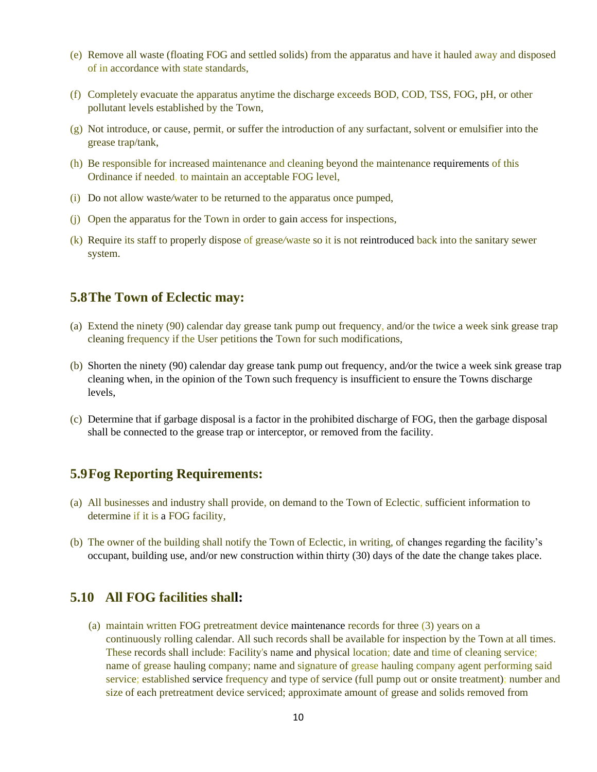- (e) Remove all waste (floating FOG and settled solids) from the apparatus and have it hauled away and disposed of in accordance with state standards,
- (f) Completely evacuate the apparatus anytime the discharge exceeds BOD, COD, TSS, FOG, pH, or other pollutant levels established by the Town,
- $(g)$  Not introduce, or cause, permit, or suffer the introduction of any surfactant, solvent or emulsifier into the grease trap/tank,
- (h) Be responsible for increased maintenance and cleaning beyond the maintenance requirements of this Ordinance if needed, to maintain an acceptable FOG level,
- (i) Do not allow waste*/*water to be returned to the apparatus once pumped,
- (j) Open the apparatus for the Town in order to gain access for inspections,
- (k) Require its staff to properly dispose of grease*/*waste so it is not reintroduced back into the sanitary sewer system.

#### **5.8The Town of Eclectic may:**

- (a) Extend the ninety (90) calendar day grease tank pump out frequency, and/or the t*w*ice a week sink grease trap cleaning frequency if the User petitions the Town for such modifications,
- (b) Shorten the ninety (90) calendar day grease tank pump out frequency, and*/*or the twice a week sink grease trap cleaning when, in the opinion of the Town such frequency is insufficient to ensure the Towns discharge levels,
- (c) Determine that if garbage disposal is a factor in the prohibited discharge of FOG, then the garbage disposal shall be connected to the grease trap or interceptor, or removed from the facility.

### **5.9Fog Reporting Requirements:**

- (a) All businesses and industry shall provide, on demand to the Town of Eclectic, sufficient information to determine if it is a FOG facility,
- (b) The owner of the building shall notify the Town of Eclectic, in writing, of changes regarding the facility's occupant, building use, and/or new construction within thirty (30) days of the date the change takes place.

#### **5.10 All FOG facilities shall:**

(a) maintain written FOG pretreatment device maintenance records for three (3) years on a continuously rolling calendar. All such records shall be available for inspection by the Town at all times. These records shall include: Facility's name and physical location; date and time of cleaning service; name of grease hauling company; name and signature of grease hauling company agent performing said service; established service frequency and type of service (full pump out or onsite treatment); number and size of each pretreatment device serviced; approximate amount of grease and solids removed from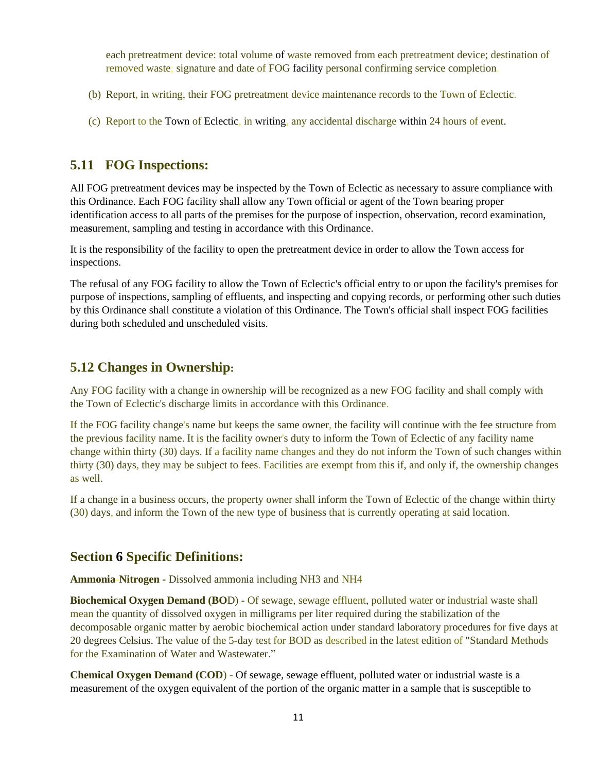each pretreatment device: total volume of waste removed from each pretreatment device; destination of removed waste; signature and date of FOG facility personal confirming service completion.

- (b) Report, in writing, their FOG pretreatment device maintenance records to the Town of Eclectic.
- (c) Report to the Town of Eclectic, in writing, any accidental discharge within 24 hours of e*v*ent.

#### **5.11 FOG Inspections:**

All FOG pretreatment devices may be inspected by the Town of Eclectic as necessary to assure compliance with this Ordinance. Each FOG facility shall allow any Town official or agent of the Town bearing proper identification access to all parts of the premises for the purpose of inspection, observation, record examination, mea**s**urement, sampling and testing in accordance with this Ordinance.

It is the responsibility of the facility to open the pretreatment device in order to allow the Town access for inspections.

The refusal of any FOG facility to allow the Town of Eclectic's official entry to or upon the facility's premises for purpose of inspections, sampling of effluents, and inspecting and copying records, or performing other such duties by this Ordinance shall constitute a violation of this Ordinance. The Town's official shall inspect FOG facilities during both scheduled and unscheduled visits.

#### **5.12 Changes in Ownership:**

Any FOG facility with a change in ownership will be recognized as a new FOG facility and shall comply with the Town of Eclectic's discharge limits in accordance with this Ordinance.

If the FOG facility change's name but keeps the same owner, the facility will continue with the fee structure from the previous facility name. It is the facility owner's duty to inform the Town of Eclectic of any facility name change within thirty (30) days. If a facility name changes and they do not inform the Town of such changes within thirty (30) days, they may be subject to fees. Facilities are exempt from this if, and only if, the ownership changes as well.

If a change in a business occurs, the property o*w*ner shall inform the Town of Eclectic of the change within thirty (30) days, and inform the Town of the new type of business that is currently operating at said location.

#### **Section 6 Specific Definitions:**

**Ammonia-Nitrogen -** Dissolved ammonia including NH3 and NH4

**Biochemical Oxygen Demand (BO**D) - Of sewage, sewage effluent, polluted water or industrial waste shall mean the quantity of dissolved oxygen in milligrams per liter required during the stabilization of the decomposable organic matter by aerobic biochemical action under standard laboratory procedures for five days at 20 degrees Celsius. The value of the 5-day test for BOD as described in the latest edition of "Standard Methods for the Examination of Water and Wastewater."

**Chemical Oxygen Demand (COD**) - Of sewage, sewage effluent, polluted water or industrial waste is a measurement of the oxygen equivalent of the portion of the organic matter in a sample that is susceptible to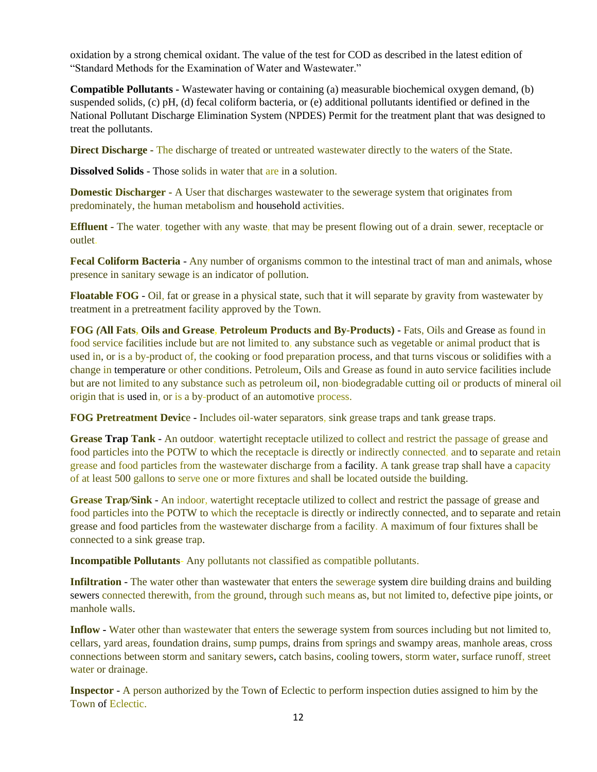oxidation by a strong chemical oxidant. The value of the test for COD as described in the latest edition of "Standard Methods for the Examination of Water and Wastewater."

**Compatible Pollutants -** Wastewater having or containing (a) measurable biochemical oxygen demand, (b) suspended solids, (c) pH, (d) fecal coliform bacteria, or (e) additional pollutants identified or defined in the National Pollutant Discharge Elimination System (NPDES) Permit for the treatment plant that was designed to treat the pollutants.

**Direct Discharge -** The discharge of treated or untreated wastewater directly to the waters of the State.

**Dissolved Solids** - Those solids in water that are in a solution.

**Domestic Discharger -** A User that discharges wastewater to the sewerage system that originates from predominately, the human metabolism and household activities.

**Effluent -** The water, together with any waste, that may be present flowing out of a drain, sewer, receptacle or outlet.

**Fecal Coliform Bacteria** - Any number of organisms common to the intestinal tract of man and animals, whose presence in sanitary sewage is an indicator of pollution.

**Floatable FOG** - Oil, fat or grease in a physical state, such that it will separate by gravity from wastewater by treatment in a pretreatment facility approved by the Town.

**FOG** *(***All Fats, Oils and Grease, Petroleum Products and By-Products)** - Fats, Oils and Grease as found in food service facilities include but are not limited to, any substance such as vegetable or animal product that is used in, or is a by-product of, the cooking or food preparation process, and that turns viscous or solidifies with a change in temperature or other conditions. Petroleum, Oils and Grease as found in auto service facilities include but are not limited to any substance such as petroleum oil, non-biodegradable cutting oil or products of mineral oil origin that is used in, or is a by-product of an automotive process.

**FOG Pretreatment Devic**e - Includes oil-water separators, sink grease traps and tank grease traps.

**Grease Trap Tank** - An outdoor, watertight receptacle utilized to collect and restrict the passage of grease and food particles into the POTW to which the receptacle is directly or indirectly connected, and to separate and retain grease and food particles from the wastewater discharge from a facility. A tank grease trap shall have a capacity of at least 500 gallons to ser*v*e one or more fixtures and shall be located outside the building.

**Grease Trap***/***Sink** - An indoor, watertight receptacle utilized to collect and restrict the passage of grease and food particles into the POTW to which the receptacle is directly or indirectly connected, and to separate and retain grease and food particles from the wastewater discharge from a facility. A maximum of four fixtures shall be connected to a sink grease trap.

**Incompatible Pollutants**- Any pollutants not classified as compatible pollutants.

**Infiltration** - The water other than wastewater that enters the sewerage system dire building drains and building sewers connected therewith, from the ground, through such means as, but not limited to, defective pipe joints, or manhole walls.

**Inflow -** Water other than wastewater that enters the sewerage system from sources including but not limited to, cellars, yard areas, foundation drains, sump pumps, drains from springs and swampy areas, manhole areas, cross connections between storm and sanitary sewers, catch basins, cooling towers, storm water, surface runoff, street water or drainage.

**Inspector** - A person authorized by the Town of Eclectic to perform inspection duties assigned to him by the Town of Eclectic.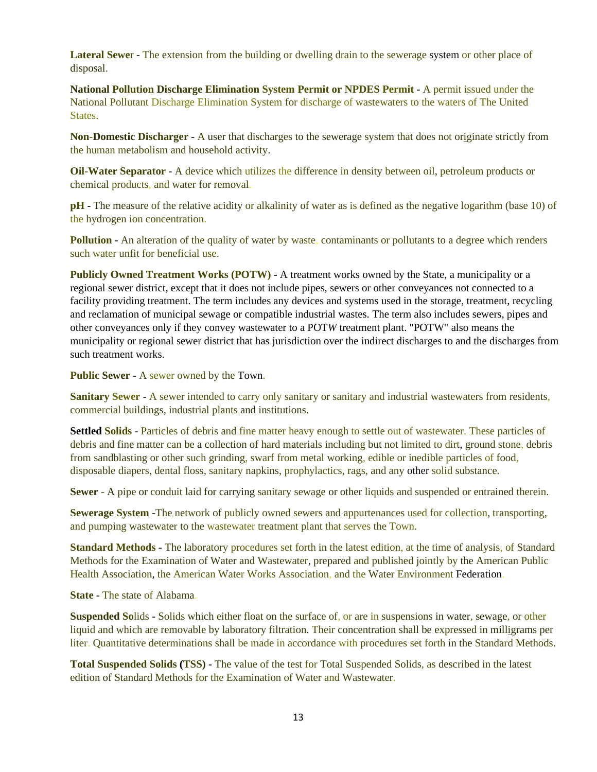**Lateral Sewe**r - The extension from the building or dwelling drain to the sewerage system or other place of disposal.

**National Pollution Discharge Elimination System Permit or NPDES Permit** - A permit issued under the National Pollutant Discharge Elimination System for discharge of wastewaters to the waters of The United States.

**Non-Domestic Discharger** - A user that discharges to the sewerage system that does not originate strictly from the human metabolism and household activity.

**Oil-Water Separator** - A device which utilizes the difference in density between oil, petroleum products or chemical products, and water for removal.

**pH** - The measure of the relative acidity or alkalinity of water as is defined as the negative logarithm (base 10) of the hydrogen ion concentration.

**Pollution** - An alteration of the quality of water by waste, contaminants or pollutants to a degree which renders such water unfit for beneficial use.

**Publicly Owned Treatment Works (POTW)** - A treatment works owned by the State, a municipality or a regional sewer district, except that it does not include pipes, sewers or other conveyances not connected to a facility providing treatment. The term includes any devices and systems used in the storage, treatment, recycling and reclamation of municipal sewage or compatible industrial wastes. The term also includes sewers, pipes and other conveyances only if they convey wastewater to a POT*W* treatment plant. "POTW" also means the municipality or regional sewer district that has jurisdiction over the indirect discharges to and the discharges from such treatment works.

**Public Sewer** - A sewer owned by the Town.

**Sanitary Sewer** - A sewer intended to carry only sanitary or sanitary and industrial wastewaters from residents, commercial buildings, industrial plants and institutions.

**Settled Solids** - Particles of debris and fine matter heavy enough to settle out of wastewater. These particles of debris and fine matter can be a collection of hard materials including but not limited to dirt, ground stone, debris from sandblasting or other such grinding, swarf from metal working, edible or inedible particles of food, disposable diapers, dental floss, sanitary napkins, prophylactics, rags, and any other solid substance.

**Sewer** - A pipe or conduit laid for carrying sanitary sewage or other liquids and suspended or entrained therein.

**Sewerage System** -The network of publicly owned sewers and appurtenances used for collection, transporting, and pumping wastewater to the wastewater treatment plant that serves the Town.

**Standard Methods** - The laboratory procedures set forth in the latest edition, at the time of analysis, of Standard Methods for the Examination of Water and Wastewater, prepared and published jointly by the American Public Health Association, the American Water Works Association, and the Water Environment Federation.

**State** - The state of Alabama.

**Suspended So**lids - Solids which either float on the surface of, or are in suspensions in water, sewage, or other liquid and which are removable by laboratory filtration. Their concentration shall be expressed in milligrams per liter. Quantitative determinations shall be made in accordance with procedures set forth in the Standard Methods.

**Total Suspended Solids (TSS)** - The value of the test for Total Suspended Solids, as described in the latest edition of Standard Methods for the Examination of Water and Wastewater.